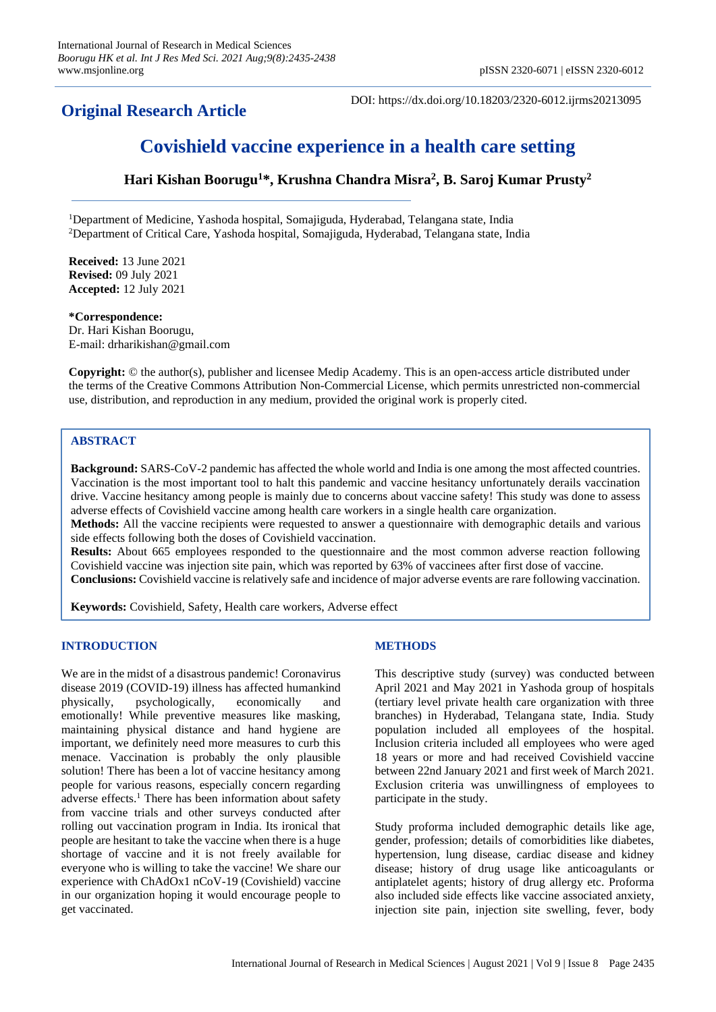# **Original Research Article**

DOI: https://dx.doi.org/10.18203/2320-6012.ijrms20213095

# **Covishield vaccine experience in a health care setting**

**Hari Kishan Boorugu<sup>1</sup>\*, Krushna Chandra Misra<sup>2</sup> , B. Saroj Kumar Prusty<sup>2</sup>**

<sup>1</sup>Department of Medicine, Yashoda hospital, Somajiguda, Hyderabad, Telangana state, India <sup>2</sup>Department of Critical Care, Yashoda hospital, Somajiguda, Hyderabad, Telangana state, India

**Received:** 13 June 2021 **Revised:** 09 July 2021 **Accepted:** 12 July 2021

**\*Correspondence:**

Dr. Hari Kishan Boorugu, E-mail: drharikishan@gmail.com

**Copyright:** © the author(s), publisher and licensee Medip Academy. This is an open-access article distributed under the terms of the Creative Commons Attribution Non-Commercial License, which permits unrestricted non-commercial use, distribution, and reproduction in any medium, provided the original work is properly cited.

# **ABSTRACT**

**Background:** SARS-CoV-2 pandemic has affected the whole world and India is one among the most affected countries. Vaccination is the most important tool to halt this pandemic and vaccine hesitancy unfortunately derails vaccination drive. Vaccine hesitancy among people is mainly due to concerns about vaccine safety! This study was done to assess adverse effects of Covishield vaccine among health care workers in a single health care organization.

**Methods:** All the vaccine recipients were requested to answer a questionnaire with demographic details and various side effects following both the doses of Covishield vaccination.

**Results:** About 665 employees responded to the questionnaire and the most common adverse reaction following Covishield vaccine was injection site pain, which was reported by 63% of vaccinees after first dose of vaccine. **Conclusions:** Covishield vaccine is relatively safe and incidence of major adverse events are rare following vaccination.

**Keywords:** Covishield, Safety, Health care workers, Adverse effect

# **INTRODUCTION**

We are in the midst of a disastrous pandemic! Coronavirus disease 2019 (COVID-19) illness has affected humankind physically, psychologically, economically and emotionally! While preventive measures like masking, maintaining physical distance and hand hygiene are important, we definitely need more measures to curb this menace. Vaccination is probably the only plausible solution! There has been a lot of vaccine hesitancy among people for various reasons, especially concern regarding adverse effects.<sup>1</sup> There has been information about safety from vaccine trials and other surveys conducted after rolling out vaccination program in India. Its ironical that people are hesitant to take the vaccine when there is a huge shortage of vaccine and it is not freely available for everyone who is willing to take the vaccine! We share our experience with ChAdOx1 nCoV-19 (Covishield) vaccine in our organization hoping it would encourage people to get vaccinated.

# **METHODS**

This descriptive study (survey) was conducted between April 2021 and May 2021 in Yashoda group of hospitals (tertiary level private health care organization with three branches) in Hyderabad, Telangana state, India. Study population included all employees of the hospital. Inclusion criteria included all employees who were aged 18 years or more and had received Covishield vaccine between 22nd January 2021 and first week of March 2021. Exclusion criteria was unwillingness of employees to participate in the study.

Study proforma included demographic details like age, gender, profession; details of comorbidities like diabetes, hypertension, lung disease, cardiac disease and kidney disease; history of drug usage like anticoagulants or antiplatelet agents; history of drug allergy etc. Proforma also included side effects like vaccine associated anxiety, injection site pain, injection site swelling, fever, body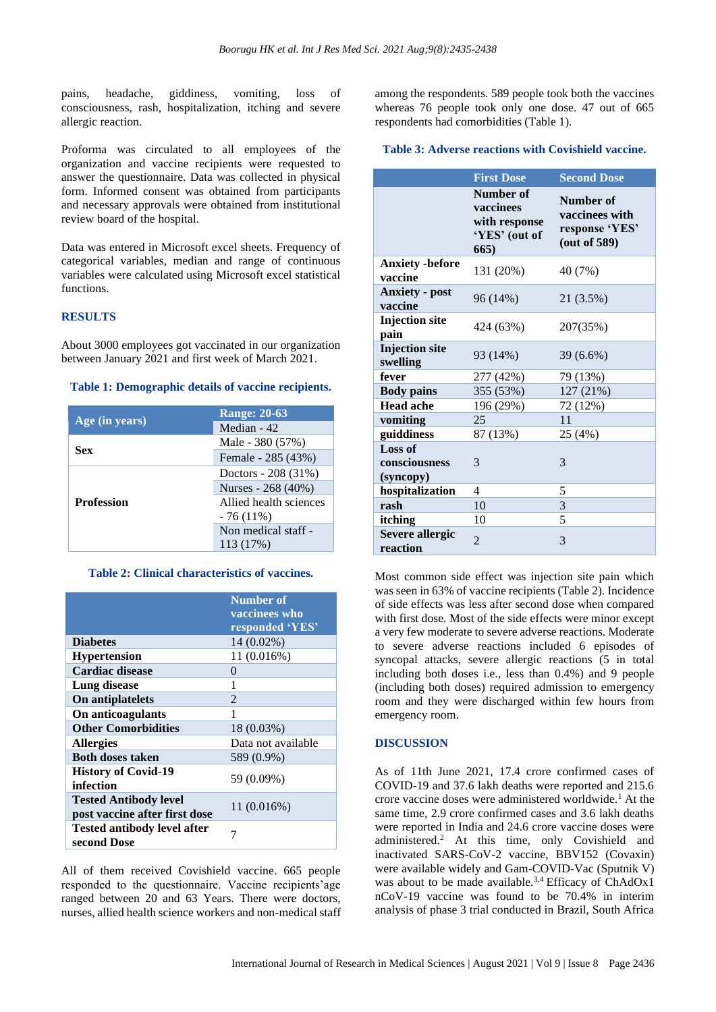pains, headache, giddiness, vomiting, loss of consciousness, rash, hospitalization, itching and severe allergic reaction.

Proforma was circulated to all employees of the organization and vaccine recipients were requested to answer the questionnaire. Data was collected in physical form. Informed consent was obtained from participants and necessary approvals were obtained from institutional review board of the hospital.

Data was entered in Microsoft excel sheets. Frequency of categorical variables, median and range of continuous variables were calculated using Microsoft excel statistical functions.

#### **RESULTS**

About 3000 employees got vaccinated in our organization between January 2021 and first week of March 2021.

#### **Table 1: Demographic details of vaccine recipients.**

| Age (in years)    | <b>Range: 20-63</b>    |
|-------------------|------------------------|
|                   | Median - 42            |
| Sex               | Male - 380 (57%)       |
|                   | Female - 285 (43%)     |
| <b>Profession</b> | Doctors - 208 (31%)    |
|                   | Nurses - 268 (40%)     |
|                   | Allied health sciences |
|                   | $-76(11\%)$            |
|                   | Non medical staff -    |
|                   | 113 (17%)              |

# **Table 2: Clinical characteristics of vaccines.**

|                                                               | <b>Number of</b>   |
|---------------------------------------------------------------|--------------------|
|                                                               | vaccinees who      |
|                                                               | responded 'YES'    |
| <b>Diabetes</b>                                               | 14 (0.02%)         |
| <b>Hypertension</b>                                           | 11 (0.016%)        |
| <b>Cardiac disease</b>                                        | 0                  |
| Lung disease                                                  | 1                  |
| On antiplatelets                                              | 2                  |
| On anticoagulants                                             | 1                  |
| <b>Other Comorbidities</b>                                    | 18 (0.03%)         |
| <b>Allergies</b>                                              | Data not available |
| <b>Both doses taken</b>                                       | 589 (0.9%)         |
| <b>History of Covid-19</b><br>infection                       | 59 (0.09%)         |
| <b>Tested Antibody level</b><br>post vaccine after first dose | 11(0.016%)         |
| <b>Tested antibody level after</b><br>second Dose             | 7                  |

All of them received Covishield vaccine. 665 people responded to the questionnaire. Vaccine recipients'age ranged between 20 and 63 Years. There were doctors, nurses, allied health science workers and non-medical staff among the respondents. 589 people took both the vaccines whereas 76 people took only one dose. 47 out of 665 respondents had comorbidities (Table 1).

# **Table 3: Adverse reactions with Covishield vaccine.**

|                                       | <b>First Dose</b>                                                | <b>Second Dose</b>                                            |
|---------------------------------------|------------------------------------------------------------------|---------------------------------------------------------------|
|                                       | Number of<br>vaccinees<br>with response<br>'YES' (out of<br>665) | Number of<br>vaccinees with<br>response 'YES'<br>(out of 589) |
| <b>Anxiety</b> -before<br>vaccine     | 131 (20%)                                                        | 40 (7%)                                                       |
| <b>Anxiety - post</b><br>vaccine      | 96 (14%)                                                         | 21 (3.5%)                                                     |
| <b>Injection</b> site<br>pain         | 424 (63%)                                                        | 207(35%)                                                      |
| <b>Injection</b> site<br>swelling     | 93 (14%)                                                         | 39 (6.6%)                                                     |
| fever                                 | 277 (42%)                                                        | 79 (13%)                                                      |
| <b>Body pains</b>                     | 355 (53%)                                                        | 127 (21%)                                                     |
| <b>Head ache</b>                      | 196 (29%)                                                        | 72 (12%)                                                      |
| vomiting                              | 25                                                               | 11                                                            |
| guiddiness                            | 87 (13%)                                                         | 25 (4%)                                                       |
| Loss of<br>consciousness<br>(syncopy) | 3                                                                | 3                                                             |
| hospitalization                       | 4                                                                | 5                                                             |
| rash                                  | 10                                                               | 3                                                             |
| itching                               | 10                                                               | 5                                                             |
| <b>Severe allergic</b><br>reaction    | $\mathfrak{D}$                                                   | 3                                                             |

Most common side effect was injection site pain which was seen in 63% of vaccine recipients (Table 2). Incidence of side effects was less after second dose when compared with first dose. Most of the side effects were minor except a very few moderate to severe adverse reactions. Moderate to severe adverse reactions included 6 episodes of syncopal attacks, severe allergic reactions (5 in total including both doses i.e., less than 0.4%) and 9 people (including both doses) required admission to emergency room and they were discharged within few hours from emergency room.

### **DISCUSSION**

As of 11th June 2021, 17.4 crore confirmed cases of COVID-19 and 37.6 lakh deaths were reported and 215.6 crore vaccine doses were administered worldwide.<sup>1</sup> At the same time, 2.9 crore confirmed cases and 3.6 lakh deaths were reported in India and 24.6 crore vaccine doses were administered.<sup>2</sup> At this time, only Covishield and inactivated SARS-CoV-2 vaccine, BBV152 (Covaxin) were available widely and Gam-COVID-Vac (Sputnik V) was about to be made available.<sup>3,4</sup> Efficacy of ChAdOx1 nCoV-19 vaccine was found to be 70.4% in interim analysis of phase 3 trial conducted in Brazil, South Africa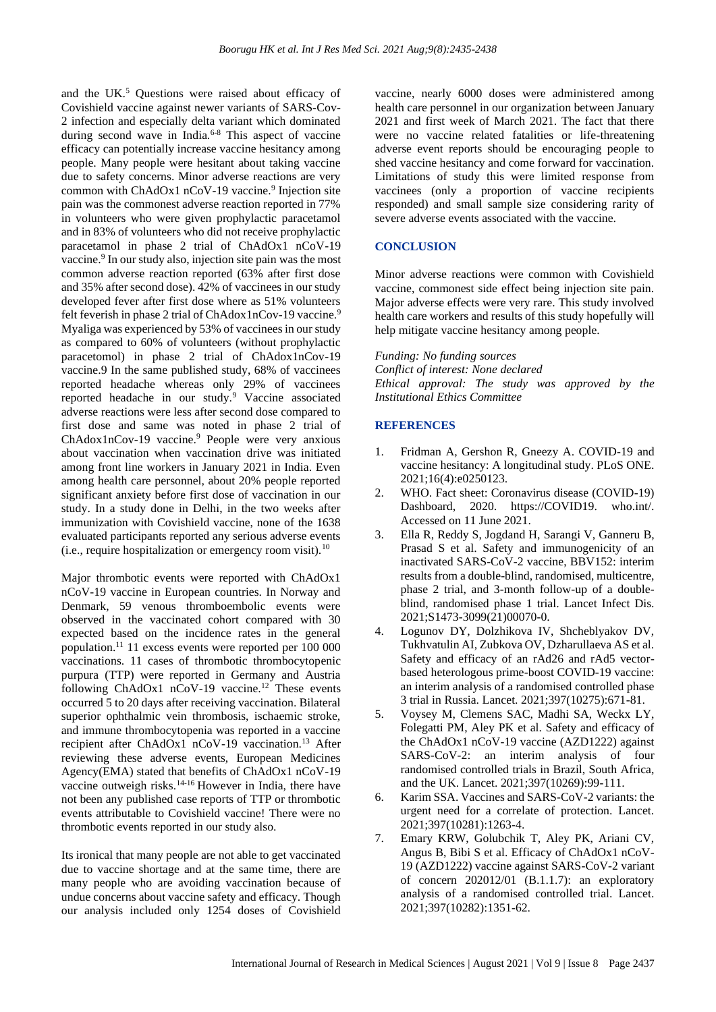and the UK.<sup>5</sup> Questions were raised about efficacy of Covishield vaccine against newer variants of SARS-Cov-2 infection and especially delta variant which dominated during second wave in India.<sup>6-8</sup> This aspect of vaccine efficacy can potentially increase vaccine hesitancy among people. Many people were hesitant about taking vaccine due to safety concerns. Minor adverse reactions are very common with ChAdOx1 nCoV-19 vaccine.<sup>9</sup> Injection site pain was the commonest adverse reaction reported in 77% in volunteers who were given prophylactic paracetamol and in 83% of volunteers who did not receive prophylactic paracetamol in phase 2 trial of ChAdOx1 nCoV-19 vaccine.<sup>9</sup> In our study also, injection site pain was the most common adverse reaction reported (63% after first dose and 35% after second dose). 42% of vaccinees in our study developed fever after first dose where as 51% volunteers felt feverish in phase 2 trial of ChAdox1nCov-19 vaccine.<sup>9</sup> Myaliga was experienced by 53% of vaccinees in our study as compared to 60% of volunteers (without prophylactic paracetomol) in phase 2 trial of ChAdox1nCov-19 vaccine.9 In the same published study, 68% of vaccinees reported headache whereas only 29% of vaccinees reported headache in our study.<sup>9</sup> Vaccine associated adverse reactions were less after second dose compared to first dose and same was noted in phase 2 trial of ChAdox1nCov-19 vaccine.<sup>9</sup> People were very anxious about vaccination when vaccination drive was initiated among front line workers in January 2021 in India. Even among health care personnel, about 20% people reported significant anxiety before first dose of vaccination in our study. In a study done in Delhi, in the two weeks after immunization with Covishield vaccine, none of the 1638 evaluated participants reported any serious adverse events (i.e., require hospitalization or emergency room visit). $^{10}$ 

Major thrombotic events were reported with ChAdOx1 nCoV-19 vaccine in European countries. In Norway and Denmark, 59 venous thromboembolic events were observed in the vaccinated cohort compared with 30 expected based on the incidence rates in the general population.<sup>11</sup> 11 excess events were reported per 100 000 vaccinations. 11 cases of thrombotic thrombocytopenic purpura (TTP) were reported in Germany and Austria following ChAdOx1 nCoV-19 vaccine.<sup>12</sup> These events occurred 5 to 20 days after receiving vaccination. Bilateral superior ophthalmic vein thrombosis, ischaemic stroke, and immune thrombocytopenia was reported in a vaccine recipient after ChAdOx1 nCoV-19 vaccination.<sup>13</sup> After reviewing these adverse events, European Medicines Agency(EMA) stated that benefits of ChAdOx1 nCoV-19 vaccine outweigh risks.14-16 However in India, there have not been any published case reports of TTP or thrombotic events attributable to Covishield vaccine! There were no thrombotic events reported in our study also.

Its ironical that many people are not able to get vaccinated due to vaccine shortage and at the same time, there are many people who are avoiding vaccination because of undue concerns about vaccine safety and efficacy. Though our analysis included only 1254 doses of Covishield vaccine, nearly 6000 doses were administered among health care personnel in our organization between January 2021 and first week of March 2021. The fact that there were no vaccine related fatalities or life-threatening adverse event reports should be encouraging people to shed vaccine hesitancy and come forward for vaccination. Limitations of study this were limited response from vaccinees (only a proportion of vaccine recipients responded) and small sample size considering rarity of severe adverse events associated with the vaccine.

# **CONCLUSION**

Minor adverse reactions were common with Covishield vaccine, commonest side effect being injection site pain. Major adverse effects were very rare. This study involved health care workers and results of this study hopefully will help mitigate vaccine hesitancy among people.

*Funding: No funding sources Conflict of interest: None declared Ethical approval: The study was approved by the Institutional Ethics Committee*

#### **REFERENCES**

- 1. Fridman A, Gershon R, Gneezy A. COVID-19 and vaccine hesitancy: A longitudinal study. PLoS ONE. 2021;16(4):e0250123.
- 2. WHO. Fact sheet: Coronavirus disease (COVID-19) Dashboard, 2020. https://COVID19. who.int/. Accessed on 11 June 2021.
- 3. Ella R, Reddy S, Jogdand H, Sarangi V, Ganneru B, Prasad S et al. Safety and immunogenicity of an inactivated SARS-CoV-2 vaccine, BBV152: interim results from a double-blind, randomised, multicentre, phase 2 trial, and 3-month follow-up of a doubleblind, randomised phase 1 trial. Lancet Infect Dis. 2021;S1473-3099(21)00070-0.
- 4. Logunov DY, Dolzhikova IV, Shcheblyakov DV, Tukhvatulin AI, Zubkova OV, Dzharullaeva AS et al. Safety and efficacy of an rAd26 and rAd5 vectorbased heterologous prime-boost COVID-19 vaccine: an interim analysis of a randomised controlled phase 3 trial in Russia. Lancet. 2021;397(10275):671-81.
- 5. Voysey M, Clemens SAC, Madhi SA, Weckx LY, Folegatti PM, Aley PK et al. Safety and efficacy of the ChAdOx1 nCoV-19 vaccine (AZD1222) against SARS-CoV-2: an interim analysis of four randomised controlled trials in Brazil, South Africa, and the UK. Lancet. 2021;397(10269):99-111.
- 6. Karim SSA. Vaccines and SARS-CoV-2 variants: the urgent need for a correlate of protection. Lancet. 2021;397(10281):1263-4.
- 7. Emary KRW, Golubchik T, Aley PK, Ariani CV, Angus B, Bibi S et al. Efficacy of ChAdOx1 nCoV-19 (AZD1222) vaccine against SARS-CoV-2 variant of concern  $202012/01$  (B.1.1.7): an exploratory analysis of a randomised controlled trial. Lancet. 2021;397(10282):1351-62.